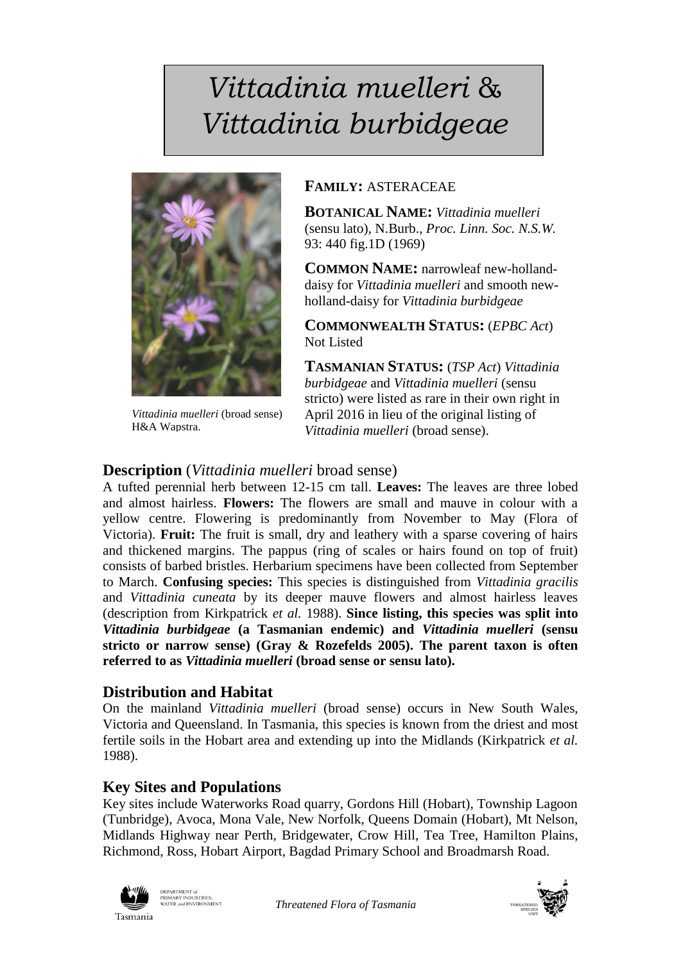# *Vittadinia muelleri* & *Vittadinia burbidgeae*



*Vittadinia muelleri* (broad sense) H&A Wapstra.

## **FAMILY:** ASTERACEAE

**BOTANICAL NAME:** *Vittadinia muelleri* (sensu lato)*,* N.Burb., *Proc. Linn. Soc. N.S.W.* 93: 440 fig.1D (1969)

**COMMON NAME:** narrowleaf new-hollanddaisy for *Vittadinia muelleri* and smooth newholland-daisy for *Vittadinia burbidgeae*

**COMMONWEALTH STATUS:** (*EPBC Act*) Not Listed

**TASMANIAN STATUS:** (*TSP Act*) *Vittadinia burbidgeae* and *Vittadinia muelleri* (sensu stricto) were listed as rare in their own right in April 2016 in lieu of the original listing of *Vittadinia muelleri* (broad sense).

# **Description** (*Vittadinia muelleri* broad sense)

A tufted perennial herb between 12-15 cm tall. **Leaves:** The leaves are three lobed and almost hairless. **Flowers:** The flowers are small and mauve in colour with a yellow centre. Flowering is predominantly from November to May (Flora of Victoria). **Fruit:** The fruit is small, dry and leathery with a sparse covering of hairs and thickened margins. The pappus (ring of scales or hairs found on top of fruit) consists of barbed bristles. Herbarium specimens have been collected from September to March. **Confusing species:** This species is distinguished from *Vittadinia gracilis*  and *Vittadinia cuneata* by its deeper mauve flowers and almost hairless leaves (description from Kirkpatrick *et al.* 1988). **Since listing, this species was split into**  *Vittadinia burbidgeae* **(a Tasmanian endemic) and** *Vittadinia muelleri* **(sensu stricto or narrow sense) (Gray & Rozefelds 2005). The parent taxon is often referred to as** *Vittadinia muelleri* **(broad sense or sensu lato).**

# **Distribution and Habitat**

On the mainland *Vittadinia muelleri* (broad sense) occurs in New South Wales, Victoria and Queensland. In Tasmania, this species is known from the driest and most fertile soils in the Hobart area and extending up into the Midlands (Kirkpatrick *et al.*  1988).

## **Key Sites and Populations**

Key sites include Waterworks Road quarry, Gordons Hill (Hobart), Township Lagoon (Tunbridge), Avoca, Mona Vale, New Norfolk, Queens Domain (Hobart), Mt Nelson, Midlands Highway near Perth, Bridgewater, Crow Hill, Tea Tree, Hamilton Plains, Richmond, Ross, Hobart Airport, Bagdad Primary School and Broadmarsh Road.



DEPARTMENT of<br>PRIMARY INDUSTRIES,<br>WATER and ENVIRONMENT

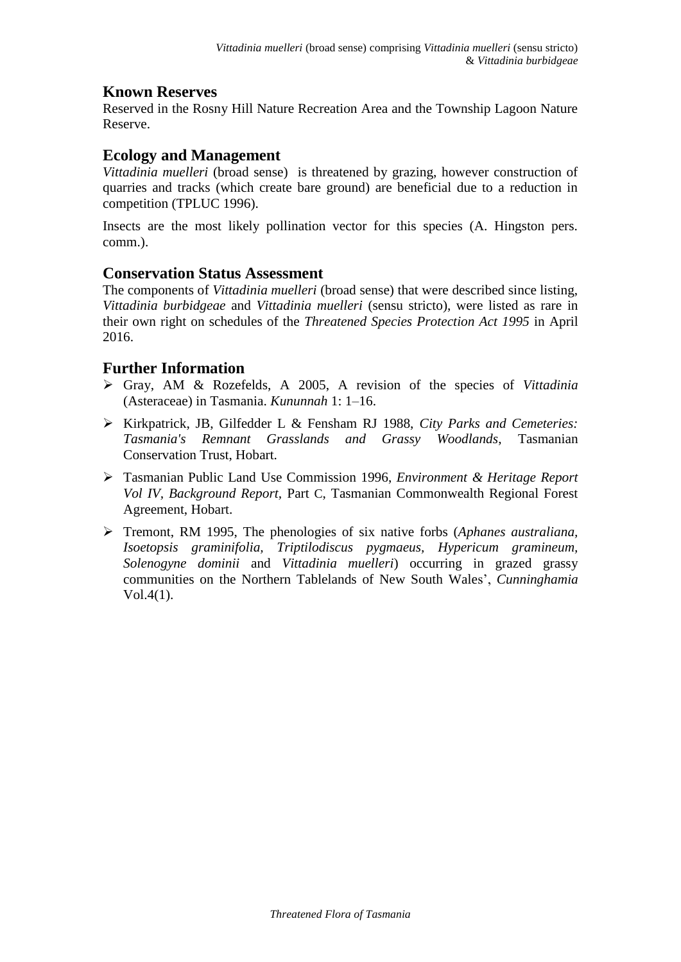# **Known Reserves**

Reserved in the Rosny Hill Nature Recreation Area and the Township Lagoon Nature Reserve.

#### **Ecology and Management**

*Vittadinia muelleri* (broad sense) is threatened by grazing, however construction of quarries and tracks (which create bare ground) are beneficial due to a reduction in competition (TPLUC 1996).

Insects are the most likely pollination vector for this species (A. Hingston pers. comm.).

#### **Conservation Status Assessment**

The components of *Vittadinia muelleri* (broad sense) that were described since listing, *Vittadinia burbidgeae* and *Vittadinia muelleri* (sensu stricto), were listed as rare in their own right on schedules of the *Threatened Species Protection Act 1995* in April 2016.

## **Further Information**

- Gray, AM & Rozefelds, A 2005, A revision of the species of *Vittadinia* (Asteraceae) in Tasmania. *Kununnah* 1: 1–16.
- Kirkpatrick, JB, Gilfedder L & Fensham RJ 1988, *City Parks and Cemeteries: Tasmania's Remnant Grasslands and Grassy Woodlands*, Tasmanian Conservation Trust, Hobart.
- Tasmanian Public Land Use Commission 1996, *Environment & Heritage Report Vol IV, Background Report,* Part C, Tasmanian Commonwealth Regional Forest Agreement, Hobart.
- Tremont, RM 1995, The phenologies of six native forbs (*Aphanes australiana, Isoetopsis graminifolia, Triptilodiscus pygmaeus, Hypericum gramineum, Solenogyne dominii* and *Vittadinia muelleri*) occurring in grazed grassy communities on the Northern Tablelands of New South Wales', *Cunninghamia* Vol.4(1).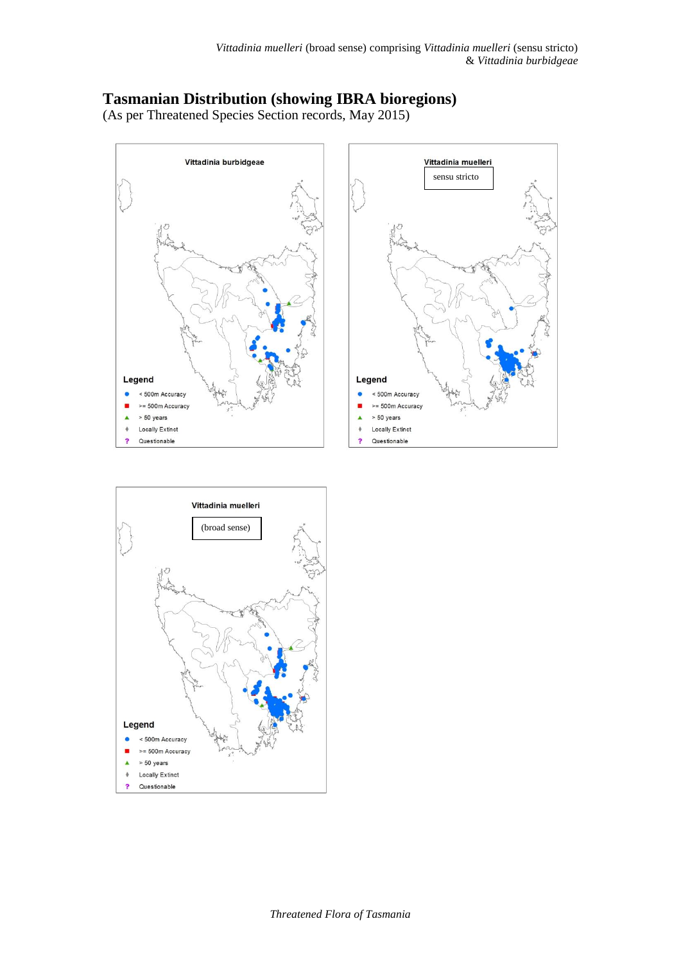# **Tasmanian Distribution (showing IBRA bioregions)**

(As per Threatened Species Section records, May 2015)